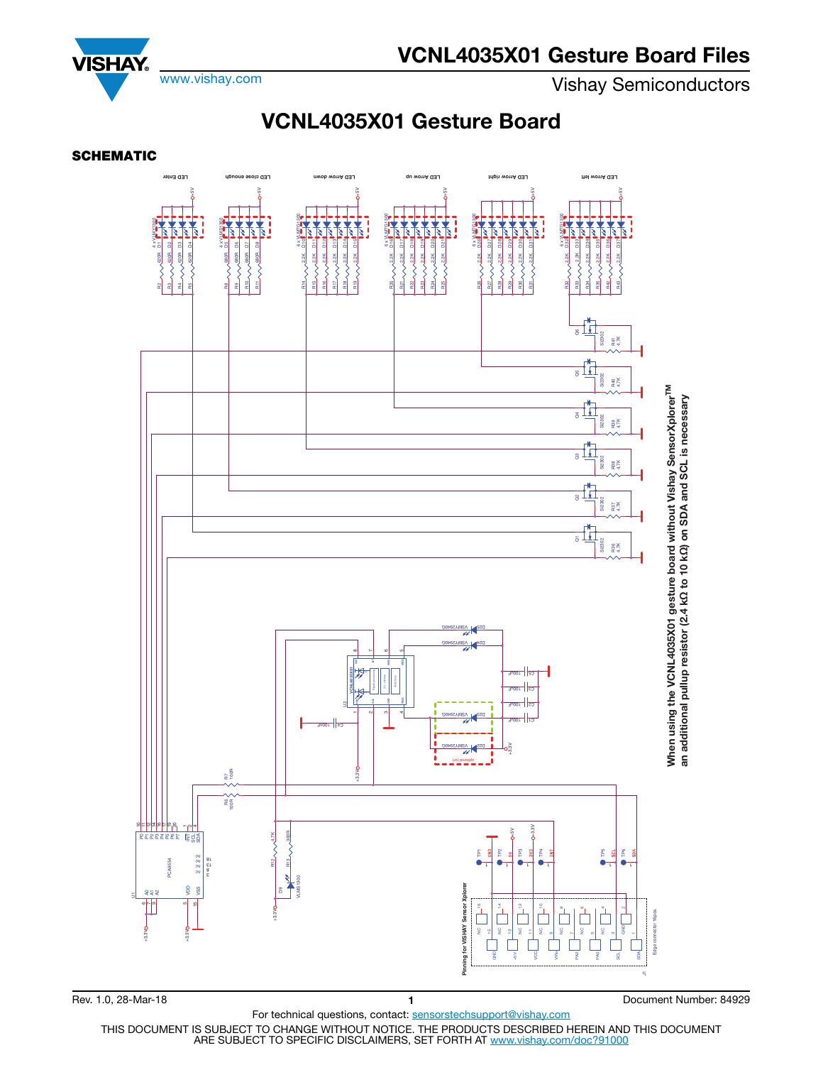www.vishay.com **Vishay Semiconductors** 

**VISHAY** 

## **VCNL4035X01 Gesture Board**





For technical questions, contact: sensorstechsupport@vishay.com

THIS DOCUMENT IS SUBJECT TO CHANGE WITHOUT NOTICE. THE PRODUCTS DESCRIBED HEREIN AND THIS DOCUMENT ARE SUBJECT TO SPECIFIC DISCLAIMERS, SET FORTH AT www.vishay.com/doc?91000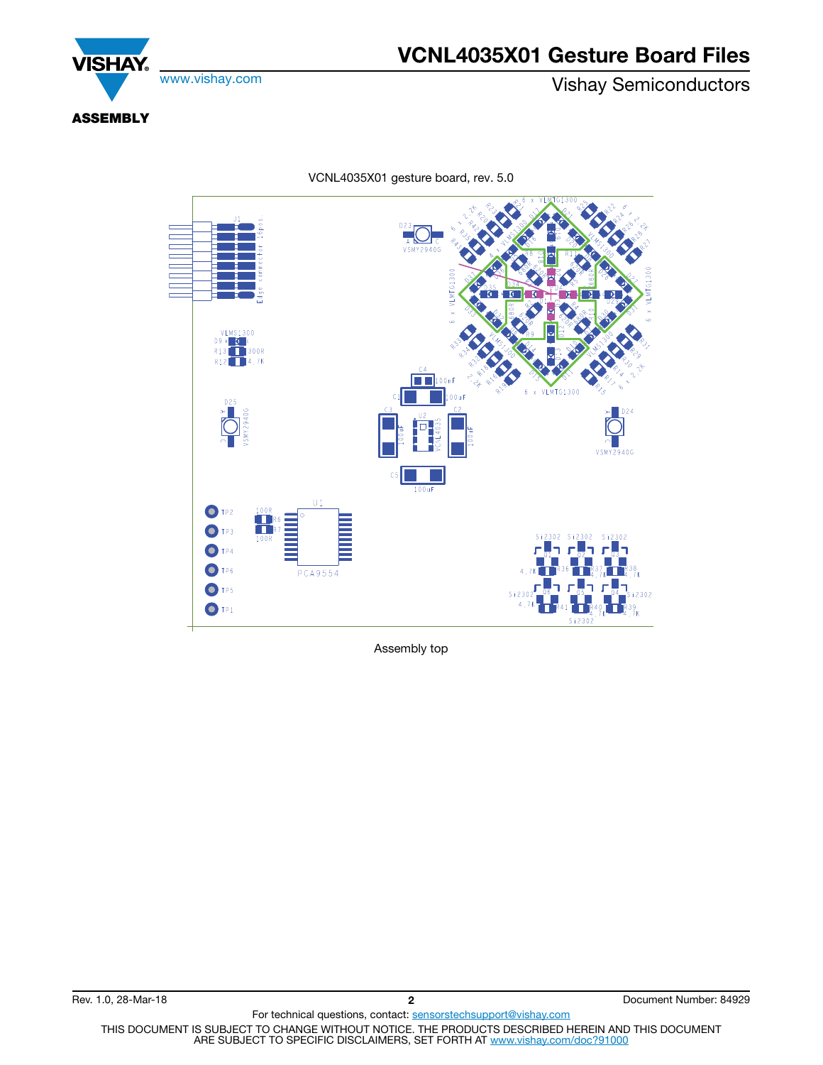

www.vishay.com **Vishay Semiconductors** 



**ASSEMBLY**

**VSMY2940G** VLMS1300<br>D9  $\sqrt{\frac{1}{4}}$  $\begin{array}{|c|c|}\n\hline\n\textbf{1} &300\text{R}\n\hline\n\end{array}$  $R13$  $R12$  $\blacksquare$  4.7K  $\blacksquare$  100nf **VLMTG1300** D25 D24 **VSMY2940G**  $C<sub>5</sub>$  $100$ uF  $\mathbb{H}^*$ O TP2  $OTP3$ Si2302 Si2302 Si2302  $O$  TP4  $OTP6$ **PCA9554**  $\bigcirc$  TP5  $\overline{\text{S12}}$  $O$  TP1  $s$ i 230

VCNL4035X01 gesture board, rev. 5.0

Assembly top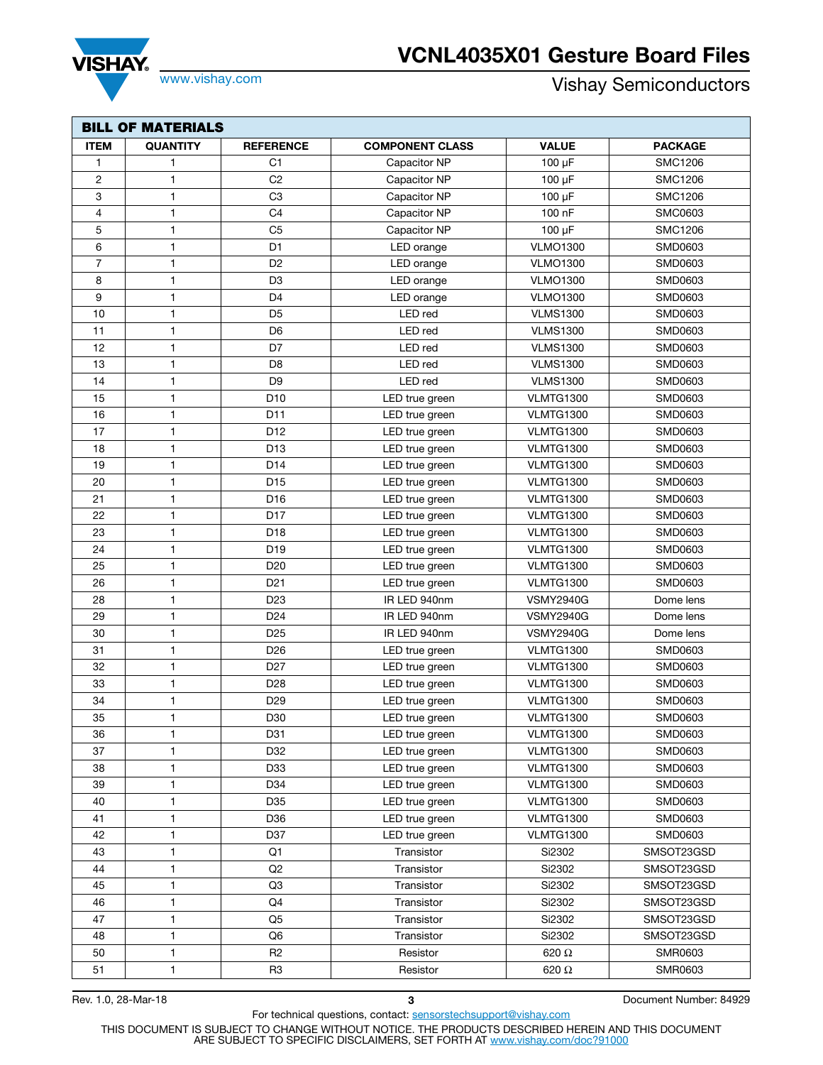## **VCNL4035X01 Gesture Board Files**



SHA

www.vishay.com **Vishay.com** Vishay Semiconductors

| <b>BILL OF MATERIALS</b> |              |                  |                        |                  |                |  |  |  |
|--------------------------|--------------|------------------|------------------------|------------------|----------------|--|--|--|
| <b>ITEM</b>              | QUANTITY     | <b>REFERENCE</b> | <b>COMPONENT CLASS</b> | <b>VALUE</b>     | <b>PACKAGE</b> |  |  |  |
| $\mathbf{1}$             | 1            | C1               | Capacitor NP           | $100 \mu F$      | <b>SMC1206</b> |  |  |  |
| $\overline{2}$           | 1            | C <sub>2</sub>   | Capacitor NP           | $100 \mu F$      | <b>SMC1206</b> |  |  |  |
| 3                        | $\mathbf{1}$ | C <sub>3</sub>   | Capacitor NP           | $100 \mu F$      | <b>SMC1206</b> |  |  |  |
| 4                        | 1            | C <sub>4</sub>   | Capacitor NP           | 100 nF           | <b>SMC0603</b> |  |  |  |
| 5                        | $\mathbf{1}$ | C <sub>5</sub>   | Capacitor NP           | $100 \mu F$      | <b>SMC1206</b> |  |  |  |
| 6                        | 1            | D <sub>1</sub>   | LED orange             | <b>VLMO1300</b>  | SMD0603        |  |  |  |
| 7                        | 1            | D <sub>2</sub>   | LED orange             | <b>VLMO1300</b>  | SMD0603        |  |  |  |
| 8                        | 1            | D <sub>3</sub>   | LED orange             | <b>VLMO1300</b>  | SMD0603        |  |  |  |
| 9                        | 1            | D <sub>4</sub>   | LED orange             | <b>VLMO1300</b>  | SMD0603        |  |  |  |
| 10                       | 1            | D <sub>5</sub>   | LED red                | <b>VLMS1300</b>  | SMD0603        |  |  |  |
| 11                       | 1            | D <sub>6</sub>   | LED red                | <b>VLMS1300</b>  | SMD0603        |  |  |  |
| 12                       | 1            | D7               | LED red                | <b>VLMS1300</b>  | SMD0603        |  |  |  |
| 13                       | 1            | D <sub>8</sub>   | LED red                | <b>VLMS1300</b>  | SMD0603        |  |  |  |
| 14                       | 1            | D <sub>9</sub>   | LED red                | <b>VLMS1300</b>  | SMD0603        |  |  |  |
| 15                       | $\mathbf{1}$ | D <sub>10</sub>  | LED true green         | <b>VLMTG1300</b> | SMD0603        |  |  |  |
| 16                       | $\mathbf{1}$ | D11              | LED true green         | <b>VLMTG1300</b> | SMD0603        |  |  |  |
| 17                       | 1            | D12              | LED true green         | <b>VLMTG1300</b> | SMD0603        |  |  |  |
| 18                       | 1            | D <sub>13</sub>  | LED true green         | <b>VLMTG1300</b> | SMD0603        |  |  |  |
| 19                       | $\mathbf{1}$ | D <sub>14</sub>  | LED true green         | <b>VLMTG1300</b> | SMD0603        |  |  |  |
| 20                       | 1            | D <sub>15</sub>  | LED true green         | <b>VLMTG1300</b> | SMD0603        |  |  |  |
| 21                       | 1            | D16              | LED true green         | <b>VLMTG1300</b> | SMD0603        |  |  |  |
| 22                       | 1            | D <sub>17</sub>  | LED true green         | <b>VLMTG1300</b> | SMD0603        |  |  |  |
| 23                       | 1            | D18              | LED true green         | <b>VLMTG1300</b> | SMD0603        |  |  |  |
| 24                       | 1            | D <sub>19</sub>  | LED true green         | <b>VLMTG1300</b> | SMD0603        |  |  |  |
| 25                       | 1            | D <sub>20</sub>  | LED true green         | <b>VLMTG1300</b> | SMD0603        |  |  |  |
| 26                       | 1            | D <sub>21</sub>  | LED true green         | <b>VLMTG1300</b> | SMD0603        |  |  |  |
| 28                       | 1            | D <sub>23</sub>  | IR LED 940nm           | <b>VSMY2940G</b> | Dome lens      |  |  |  |
| 29                       | 1            | D <sub>24</sub>  | IR LED 940nm           | <b>VSMY2940G</b> | Dome lens      |  |  |  |
| 30                       | $\mathbf{1}$ | D <sub>25</sub>  | IR LED 940nm           | <b>VSMY2940G</b> | Dome lens      |  |  |  |
| 31                       | 1            | D <sub>26</sub>  | LED true green         | <b>VLMTG1300</b> | SMD0603        |  |  |  |
| 32                       | 1            | D <sub>27</sub>  | LED true green         | <b>VLMTG1300</b> | SMD0603        |  |  |  |
| 33                       | $\mathbf{1}$ | D <sub>28</sub>  | LED true green         | <b>VLMTG1300</b> | SMD0603        |  |  |  |
| 34                       | 1            | D <sub>29</sub>  | LED true green         | <b>VLMTG1300</b> | SMD0603        |  |  |  |
| 35                       | $\mathbf{1}$ | D30              | LED true green         | <b>VLMTG1300</b> | SMD0603        |  |  |  |
| 36                       | $\mathbf{1}$ | D31              | LED true green         | <b>VLMTG1300</b> | SMD0603        |  |  |  |
| 37                       | 1            | D32              | LED true green         | <b>VLMTG1300</b> | SMD0603        |  |  |  |
| 38                       | 1            | D33              | LED true green         | <b>VLMTG1300</b> | SMD0603        |  |  |  |
| 39                       | 1            | D34              | LED true green         | <b>VLMTG1300</b> | SMD0603        |  |  |  |
| 40                       | 1            | D35              | LED true green         | <b>VLMTG1300</b> | SMD0603        |  |  |  |
| 41                       | 1            | D36              | LED true green         | <b>VLMTG1300</b> | SMD0603        |  |  |  |
| 42                       | $\mathbf{1}$ | D37              | LED true green         | <b>VLMTG1300</b> | SMD0603        |  |  |  |
| 43                       | 1            | Q1               | Transistor             | Si2302           | SMSOT23GSD     |  |  |  |
| 44                       | 1            | Q <sub>2</sub>   | Transistor             | Si2302           | SMSOT23GSD     |  |  |  |
| 45                       | 1            | Q3               | Transistor             | Si2302           | SMSOT23GSD     |  |  |  |
| 46                       | 1            | Q4               | Transistor             | Si2302           | SMSOT23GSD     |  |  |  |
| 47                       | 1            | Q5               | Transistor             | Si2302           | SMSOT23GSD     |  |  |  |
| 48                       | $\mathbf{1}$ | Q6               | Transistor             | Si2302           | SMSOT23GSD     |  |  |  |
| 50                       | $\mathbf{1}$ | R <sub>2</sub>   | Resistor               | 620 Ω            | SMR0603        |  |  |  |
| 51                       | $\mathbf{1}$ | R <sub>3</sub>   | Resistor               | 620 Ω            | SMR0603        |  |  |  |

Rev. 1.0, 28-Mar-18 **3** Document Number: 84929